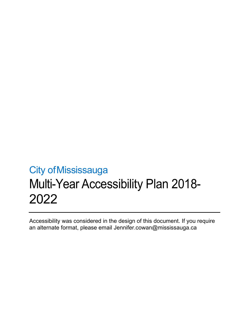Accessibility was considered in the design of this document. If you require an alternate format, please email [Jennifer.cowan@mississauga.ca](mailto:Jennifer.cowan@mississauga.ca)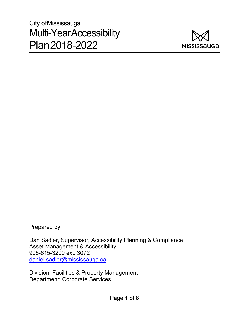

Prepared by:

Dan Sadler, Supervisor, Accessibility Planning & Compliance Asset Management & Accessibility 905-615-3200 ext. 3072 [daniel.sadler@mississauga.ca](mailto:daniel.sadler@mississauga.ca)

Division: Facilities & Property Management Department: Corporate Services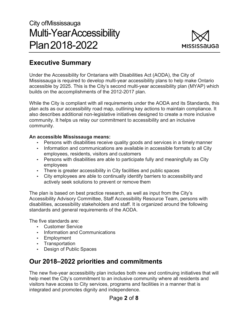

## **Executive Summary**

Under the Accessibility for Ontarians with Disabilities Act (AODA), the City of Mississauga is required to develop multi-year accessibility plans to help make Ontario accessible by 2025. This is the City's second multi-year accessibility plan (MYAP) which builds on the accomplishments of the 2012-2017 plan.

While the City is compliant with all requirements under the AODA and its Standards, this plan acts as our accessibility road map, outlining key actions to maintain compliance. It also describes additional non-legislative initiatives designed to create a more inclusive community. It helps us relay our commitment to accessibility and an inclusive community.

#### **An accessible Mississauga means:**

- Persons with disabilities receive quality goods and services in a timely manner
- Information and communications are available in accessible formats to all City employees, residents, visitors and customers
- Persons with disabilities are able to participate fully and meaningfully as City employees
- There is greater accessibility in City facilities and public spaces
- City employees are able to continually identify barriers to accessibility and actively seek solutions to prevent or remove them

The plan is based on best practice research, as well as input from the City's Accessibility Advisory Committee, Staff Accessibility Resource Team, persons with disabilities, accessibility stakeholders and staff. It is organized around the following standards and general requirements of the AODA.

The five standards are:

- Customer Service
- Information and Communications
- Employment
- Transportation
- Design of Public Spaces

## **Our 2018–2022 priorities and commitments**

The new five-year accessibility plan includes both new and continuing initiatives that will help meet the City's commitment to an inclusive community where all residents and visitors have access to City services, programs and facilities in a manner that is integrated and promotes dignity and independence.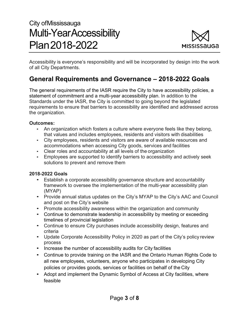

Accessibility is everyone's responsibility and will be incorporated by design into the work of all City Departments.

## **General Requirements and Governance – 2018-2022 Goals**

The general requirements of the IASR require the City to have accessibility policies, a statement of commitment and a multi-year accessibility plan. In addition to the Standards under the IASR, the City is committed to going beyond the legislated requirements to ensure that barriers to accessibility are identified and addressed across the organization.

#### **Outcomes:**

- An organization which fosters a culture where everyone feels like they belong, that values and includes employees, residents and visitors with disabilities
- City employees, residents and visitors are aware of available resources and accommodations when accessing City goods, services and facilities
- Clear roles and accountability at all levels of the organization
- Employees are supported to identify barriers to accessibility and actively seek solutions to prevent and remove them

## **2018-2022 Goals**

- Establish a corporate accessibility governance structure and accountability framework to oversee the implementation of the multi-year accessibility plan (MYAP)
- Provide annual status updates on the City's MYAP to the City's AAC and Council and post on the City's website
- Promote accessibility awareness within the organization and community
- Continue to demonstrate leadership in accessibility by meeting or exceeding timelines of provincial legislation
- Continue to ensure City purchases include accessibility design, features and criteria
- Update Corporate Accessibility Policy in 2020 as part of the City's policy review process
- Increase the number of accessibility audits for City facilities
- Continue to provide training on the IASR and the Ontario Human Rights Code to all new employees, volunteers, anyone who participates in developing City policies or provides goods, services or facilities on behalf of the City
- Adopt and implement the Dynamic Symbol of Access at City facilities, where feasible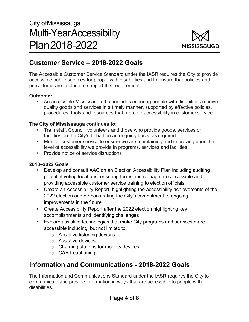

## **Customer Service – 2018-2022 Goals**

The Accessible Customer Service Standard under the IASR requires the City to provide accessible public services for people with disabilities and to ensure that policies and procedures are in place to support this requirement.

### **Outcome:**

• An accessible Mississauga that includes ensuring people with disabilities receive quality goods and services in a timely manner, supported by effective policies, procedures, tools and resources that promote accessibility in customer service

## **The City of Mississauga continues to:**

- Train staff, Council, volunteers and those who provide goods, services or facilities on the City's behalf on an ongoing basis, as required
- Monitor customer service to ensure we are maintaining and improving upon the level of accessibility we provide in programs, services and facilities
- Provide notice of service disruptions

## **2018–2022 Goals**

- Develop and consult AAC on an Election Accessibility Plan including auditing potential voting locations, ensuring forms and signage are accessible and providing accessible customer service training to election officials
- Create an Accessibility Report, highlighting the accessibility achievements of the 2022 election and demonstrating the City's commitment to ongoing improvements in the future
- Create Accessibility Report after the 2022 election highlighting key accomplishments and identifying challenges
- Explore assistive technologies that make City programs and services more accessible including, but not limited to:
	- o Assistive listening devices
	- o Assistive devices
	- o Charging stations for mobility devices
	- o CART captioning

## **Information and Communications - 2018-2022 Goals**

The Information and Communications Standard under the IASR requires the City to communicate and provide information in ways that are accessible to people with disabilities.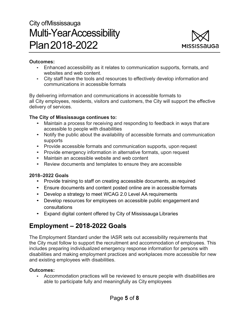

#### **Outcomes:**

- Enhanced accessibility as it relates to communication supports, formats, and websites and web content.
- City staff have the tools and resources to effectively develop information and communications in accessible formats

By delivering information and communications in accessible formats to all City employees, residents, visitors and customers, the City will support the effective delivery of services.

#### **The City of Mississauga continues to:**

- Maintain a process for receiving and responding to feedback in ways that are accessible to people with disabilities
- Notify the public about the availability of accessible formats and communication supports
- Provide accessible formats and communication supports, upon request
- Provide emergency information in alternative formats, upon request
- Maintain an accessible website and web content
- Review documents and templates to ensure they are accessible

#### **2018–2022 Goals**

- Provide training to staff on creating accessible documents, as required
- Ensure documents and content posted online are in accessible formats
- Develop a strategy to meet WCAG 2.0 Level AA requirements
- Develop resources for employees on accessible public engagement and consultations
- Expand digital content offered by City of Mississauga Libraries

## **Employment – 2018-2022 Goals**

The Employment Standard under the IASR sets out accessibility requirements that the City must follow to support the recruitment and accommodation of employees. This includes preparing individualized emergency response information for persons with disabilities and making employment practices and workplaces more accessible for new and existing employees with disabilities.

#### **Outcomes:**

• Accommodation practices will be reviewed to ensure people with disabilities are able to participate fully and meaningfully as City employees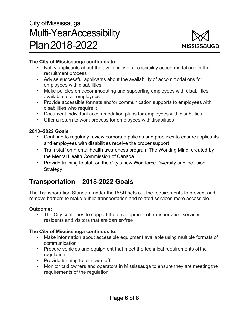

### **The City of Mississauga continues to:**

- Notify applicants about the availability of accessibility accommodations in the recruitment process
- Advise successful applicants about the availability of accommodations for employees with disabilities
- Make policies on accommodating and supporting employees with disabilities available to all employees
- Provide accessible formats and/or communication supports to employees with disabilities who require it
- Document individual accommodation plans for employees with disabilities
- Offer a return to work process for employees with disabilities

## **2018–2022 Goals**

- Continue to regularly review corporate policies and practices to ensure applicants and employees with disabilities receive the proper support
- Train staff on mental health awareness program The Working Mind, created by the Mental Health Commission of Canada
- Provide training to staff on the City's new Workforce Diversity and Inclusion **Strategy**

## **Transportation – 2018-2022 Goals**

The Transportation Standard under the IASR sets out the requirements to prevent and remove barriers to make public transportation and related services more accessible.

#### **Outcome:**

• The City continues to support the development of transportation services for residents and visitors that are barrier-free

## **The City of Mississauga continues to:**

- Make information about accessible equipment available using multiple formats of communication
- Procure vehicles and equipment that meet the technical requirements of the regulation
- Provide training to all new staff
- Monitor taxi owners and operators in Mississauga to ensure they are meeting the requirements of the regulation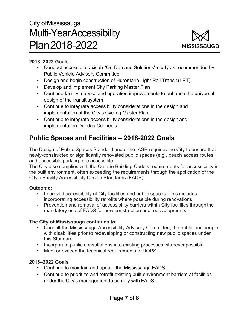

### **2018–2022 Goals**

- Conduct accessible taxicab "On-Demand Solutions" study as recommended by Public Vehicle Advisory Committee
- Design and begin construction of Hurontario Light Rail Transit (LRT)
- Develop and implement City Parking Master Plan
- Continue facility, service and operation improvements to enhance the universal design of the transit system
- Continue to integrate accessibility considerations in the design and implementation of the City's Cycling Master Plan
- Continue to integrate accessibility considerations in the design and implementation Dundas Connects

## **Public Spaces and Facilities – 2018-2022 Goals**

The Design of Public Spaces Standard under the IASR requires the City to ensure that newly-constructed or significantly renovated public spaces (e.g., beach access routes and accessible parking) are accessible.

The City also complies with the Ontario Building Code's requirements for accessibility in the built environment, often exceeding the requirements through the application of the City's Facility Accessibility Design Standards (FADS).

## **Outcome:**

- Improved accessibility of City facilities and public spaces. This includes incorporating accessibility retrofits where possible during renovations
- Prevention and removal of accessibility barriers within City facilities through the mandatory use of FADS for new construction and redevelopments

## **The City of Mississauga continues to:**

- Consult the Mississauga Accessibility Advisory Committee, the public and people with disabilities prior to redeveloping or constructing new public spaces under this Standard
- Incorporate public consultations into existing processes wherever possible
- Meet or exceed the technical requirements of DOPS

## **2018–2022 Goals**

- Continue to maintain and update the Mississauga FADS
- Continue to prioritize and retrofit existing built environment barriers at facilities under the City's management to comply with FADS